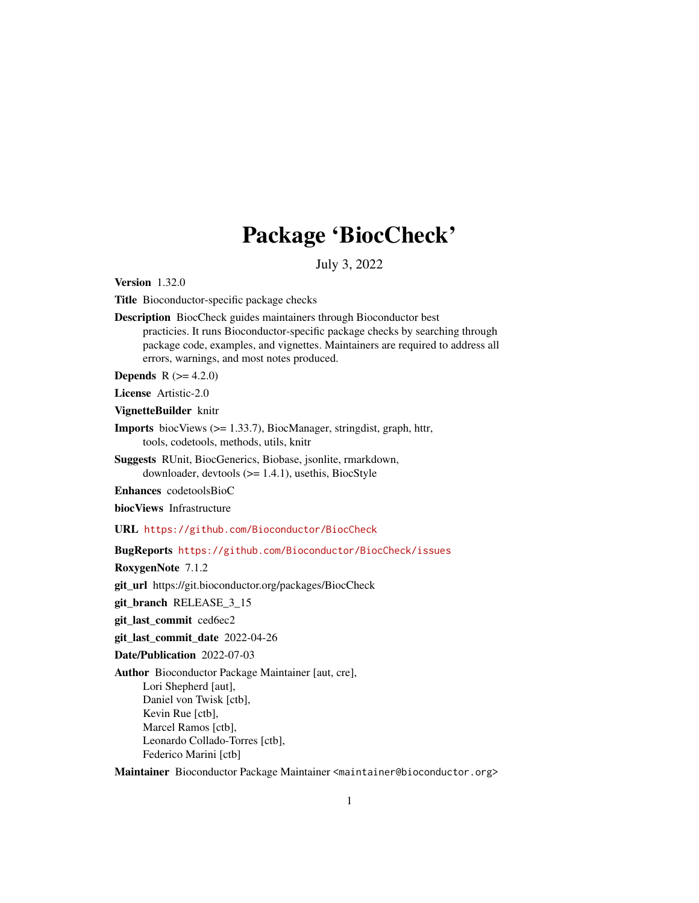## Package 'BiocCheck'

July 3, 2022

Version 1.32.0

Title Bioconductor-specific package checks

Description BiocCheck guides maintainers through Bioconductor best practicies. It runs Bioconductor-specific package checks by searching through package code, examples, and vignettes. Maintainers are required to address all errors, warnings, and most notes produced.

**Depends**  $R (= 4.2.0)$ 

License Artistic-2.0

VignetteBuilder knitr

- Imports biocViews (>= 1.33.7), BiocManager, stringdist, graph, httr, tools, codetools, methods, utils, knitr
- Suggests RUnit, BiocGenerics, Biobase, jsonlite, rmarkdown, downloader, devtools (>= 1.4.1), usethis, BiocStyle

Enhances codetoolsBioC

biocViews Infrastructure

URL <https://github.com/Bioconductor/BiocCheck>

BugReports <https://github.com/Bioconductor/BiocCheck/issues>

RoxygenNote 7.1.2

git\_url https://git.bioconductor.org/packages/BiocCheck

git\_branch RELEASE\_3\_15

git\_last\_commit ced6ec2

git last commit date 2022-04-26

Date/Publication 2022-07-03

Author Bioconductor Package Maintainer [aut, cre], Lori Shepherd [aut], Daniel von Twisk [ctb], Kevin Rue [ctb], Marcel Ramos [ctb], Leonardo Collado-Torres [ctb], Federico Marini [ctb]

Maintainer Bioconductor Package Maintainer <maintainer@bioconductor.org>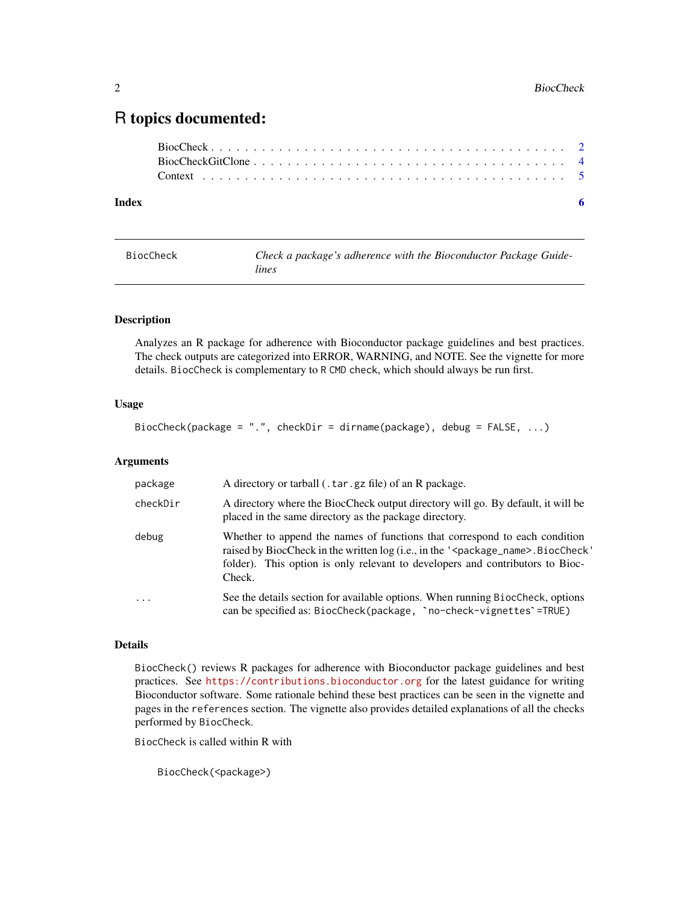### <span id="page-1-0"></span>R topics documented:

| Index |  |
|-------|--|
|       |  |
|       |  |
|       |  |

BiocCheck *Check a package's adherence with the Bioconductor Package Guidelines*

#### Description

Analyzes an R package for adherence with Bioconductor package guidelines and best practices. The check outputs are categorized into ERROR, WARNING, and NOTE. See the vignette for more details. BiocCheck is complementary to R CMD check, which should always be run first.

#### Usage

BiocCheck(package = ".", checkDir = dirname(package), debug = FALSE, ...)

#### Arguments

| package   | A directory or tarball (.tar.gz file) of an R package.                                                                                                                                                                                                                     |
|-----------|----------------------------------------------------------------------------------------------------------------------------------------------------------------------------------------------------------------------------------------------------------------------------|
| checkDir  | A directory where the BiocCheck output directory will go. By default, it will be<br>placed in the same directory as the package directory.                                                                                                                                 |
| debug     | Whether to append the names of functions that correspond to each condition<br>raised by BiocCheck in the written log (i.e., in the ' <package_name>.BiocCheck'<br/>folder). This option is only relevant to developers and contributors to Bioc-<br/>Check.</package_name> |
| $\ddotsc$ | See the details section for available options. When running BiocCheck, options<br>can be specified as: BiocCheck(package, `no-check-vignettes`=TRUE)                                                                                                                       |

#### Details

BiocCheck() reviews R packages for adherence with Bioconductor package guidelines and best practices. See <https://contributions.bioconductor.org> for the latest guidance for writing Bioconductor software. Some rationale behind these best practices can be seen in the vignette and pages in the references section. The vignette also provides detailed explanations of all the checks performed by BiocCheck.

BiocCheck is called within R with

```
BiocCheck(<package>)
```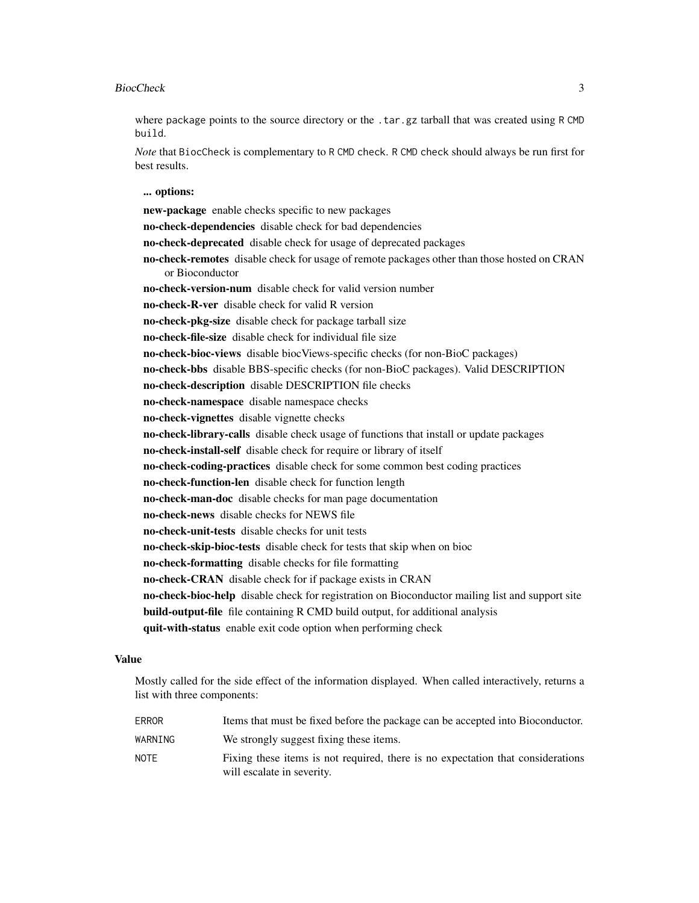#### BiocCheck 3

where package points to the source directory or the .tar.gz tarball that was created using R CMD build.

*Note* that BiocCheck is complementary to R CMD check. R CMD check should always be run first for best results.

... options:

new-package enable checks specific to new packages no-check-dependencies disable check for bad dependencies no-check-deprecated disable check for usage of deprecated packages no-check-remotes disable check for usage of remote packages other than those hosted on CRAN or Bioconductor no-check-version-num disable check for valid version number no-check-R-ver disable check for valid R version no-check-pkg-size disable check for package tarball size no-check-file-size disable check for individual file size no-check-bioc-views disable biocViews-specific checks (for non-BioC packages) no-check-bbs disable BBS-specific checks (for non-BioC packages). Valid DESCRIPTION no-check-description disable DESCRIPTION file checks no-check-namespace disable namespace checks no-check-vignettes disable vignette checks no-check-library-calls disable check usage of functions that install or update packages no-check-install-self disable check for require or library of itself no-check-coding-practices disable check for some common best coding practices no-check-function-len disable check for function length no-check-man-doc disable checks for man page documentation no-check-news disable checks for NEWS file no-check-unit-tests disable checks for unit tests no-check-skip-bioc-tests disable check for tests that skip when on bioc no-check-formatting disable checks for file formatting no-check-CRAN disable check for if package exists in CRAN no-check-bioc-help disable check for registration on Bioconductor mailing list and support site build-output-file file containing R CMD build output, for additional analysis quit-with-status enable exit code option when performing check

#### Value

Mostly called for the side effect of the information displayed. When called interactively, returns a list with three components:

| <b>ERROR</b> | Items that must be fixed before the package can be accepted into Bioconductor.                                |
|--------------|---------------------------------------------------------------------------------------------------------------|
| WARNING      | We strongly suggest fixing these items.                                                                       |
| <b>NOTE</b>  | Fixing these items is not required, there is no expectation that considerations<br>will escalate in severity. |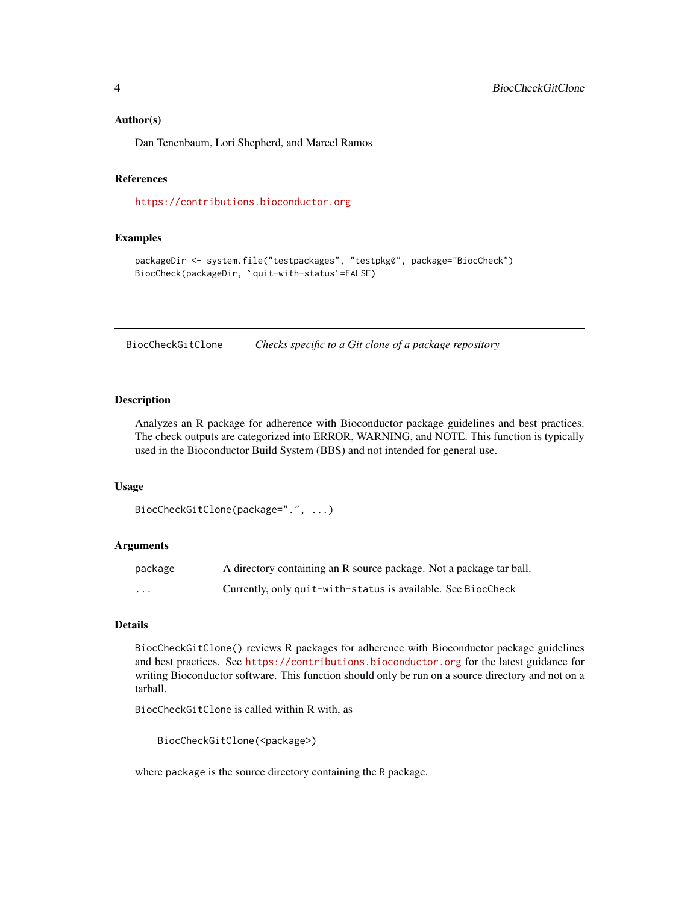#### <span id="page-3-0"></span>Author(s)

Dan Tenenbaum, Lori Shepherd, and Marcel Ramos

#### References

<https://contributions.bioconductor.org>

#### Examples

```
packageDir <- system.file("testpackages", "testpkg0", package="BiocCheck")
<mark>mples</mark><br>packageDir <- system.file("testpackages", "test<br>BiocCheck(packageDir, `quit-with-status`=FALSE)
```
BiocCheckGitClone *Checks specific to a Git clone of a package repository*

#### **Description**

Analyzes an R package for adherence with Bioconductor package guidelines and best practices. The check outputs are categorized into ERROR, WARNING, and NOTE. This function is typically used in the Bioconductor Build System (BBS) and not intended for general use.

#### Usage

```
BiocCheckGitClone(package=".", ...)
```
#### Arguments

| package                 | A directory containing an R source package. Not a package tar ball. |
|-------------------------|---------------------------------------------------------------------|
| $\cdot$ $\cdot$ $\cdot$ | Currently, only quit-with-status is available. See BiocCheck        |

#### Details

BiocCheckGitClone() reviews R packages for adherence with Bioconductor package guidelines and best practices. See <https://contributions.bioconductor.org> for the latest guidance for writing Bioconductor software. This function should only be run on a source directory and not on a tarball.

BiocCheckGitClone is called within R with, as

BiocCheckGitClone(<package>)

where package is the source directory containing the R package.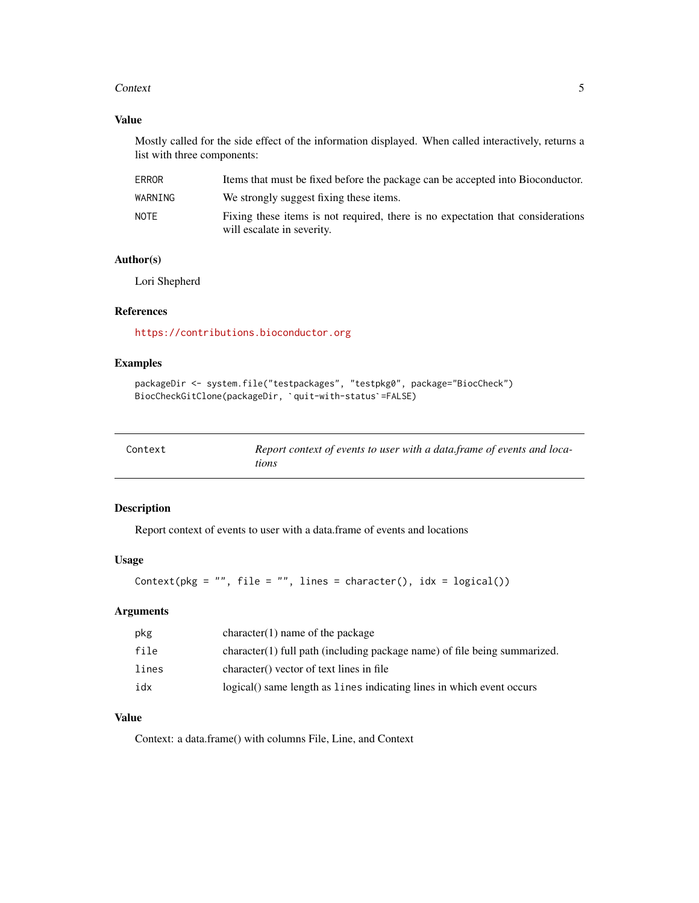#### <span id="page-4-0"></span>Context 5

#### Value

Mostly called for the side effect of the information displayed. When called interactively, returns a list with three components:

| <b>ERROR</b> | Items that must be fixed before the package can be accepted into Bioconductor.                                |
|--------------|---------------------------------------------------------------------------------------------------------------|
| WARNING      | We strongly suggest fixing these items.                                                                       |
| NOTF         | Fixing these items is not required, there is no expectation that considerations<br>will escalate in severity. |

#### Author(s)

Lori Shepherd

#### References

<https://contributions.bioconductor.org>

#### Examples

```
packageDir <- system.file("testpackages", "testpkg0", package="BiocCheck")
<mark>mples</mark><br>packageDir <– system.file("testpackages", "testpkg0", p<br>BiocCheckGitClone(packageDir, `quit-with-status`=FALSE)
```

| Context | Report context of events to user with a data frame of events and loca- |
|---------|------------------------------------------------------------------------|
|         | tions                                                                  |

#### Description

Report context of events to user with a data.frame of events and locations

#### Usage

```
Context(pkg = ", file = ", lines = character(), idx = logical())
```
#### Arguments

| pkg   | $character(1)$ name of the package                                          |
|-------|-----------------------------------------------------------------------------|
| file  | $character(1)$ full path (including package name) of file being summarized. |
| lines | character() vector of text lines in file                                    |
| idx   | logical() same length as lines indicating lines in which event occurs       |

#### Value

Context: a data.frame() with columns File, Line, and Context